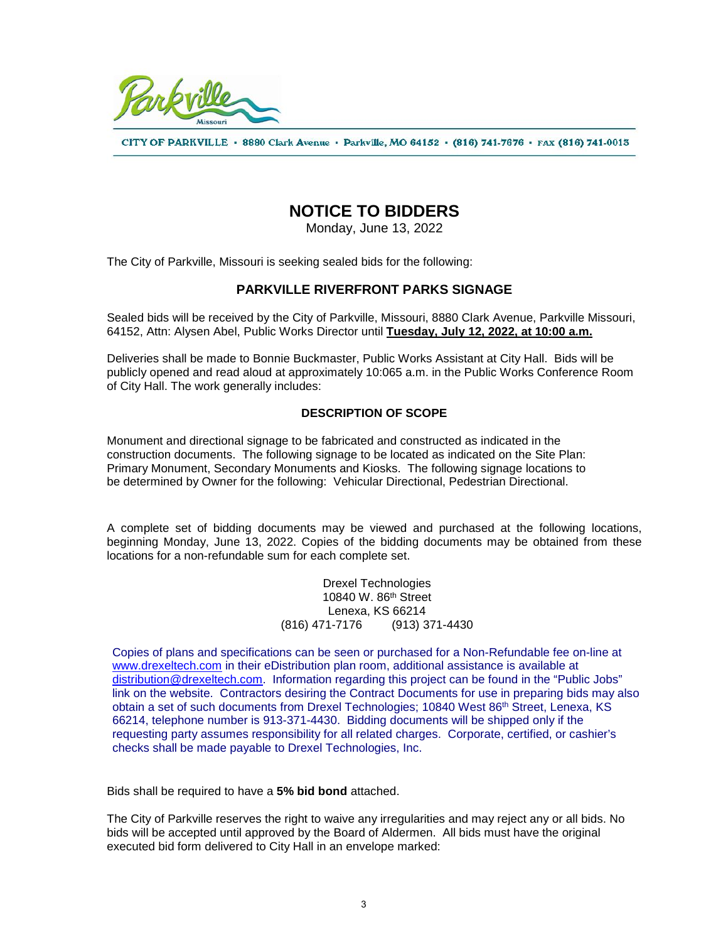

CITY OF PARKVILLE · 8880 Clark Avenue · Parkville, MO 64152 · (816) 741-7676 · FAX (816) 741-0013

## **NOTICE TO BIDDERS**

Monday, June 13, 2022

The City of Parkville, Missouri is seeking sealed bids for the following:

## **PARKVILLE RIVERFRONT PARKS SIGNAGE**

Sealed bids will be received by the City of Parkville, Missouri, 8880 Clark Avenue, Parkville Missouri, 64152, Attn: Alysen Abel, Public Works Director until **Tuesday, July 12, 2022, at 10:00 a.m.**

Deliveries shall be made to Bonnie Buckmaster, Public Works Assistant at City Hall. Bids will be publicly opened and read aloud at approximately 10:065 a.m. in the Public Works Conference Room of City Hall. The work generally includes:

## **DESCRIPTION OF SCOPE**

Monument and directional signage to be fabricated and constructed as indicated in the construction documents. The following signage to be located as indicated on the Site Plan: Primary Monument, Secondary Monuments and Kiosks. The following signage locations to be determined by Owner for the following: Vehicular Directional, Pedestrian Directional.

A complete set of bidding documents may be viewed and purchased at the following locations, beginning Monday, June 13, 2022. Copies of the bidding documents may be obtained from these locations for a non-refundable sum for each complete set.

> Drexel Technologies 10840 W. 86th Street Lenexa, KS 66214 (816) 471-7176 (913) 371-4430

Copies of plans and specifications can be seen or purchased for a Non-Refundable fee on-line at [www.drexeltech.com](http://www.drexeltech.com/) in their eDistribution plan room, additional assistance is available at [distribution@drexeltech.com.](mailto:distribution@drexeltech.com) Information regarding this project can be found in the "Public Jobs" link on the website. Contractors desiring the Contract Documents for use in preparing bids may also obtain a set of such documents from Drexel Technologies; 10840 West 86<sup>th</sup> Street, Lenexa, KS 66214, telephone number is 913-371-4430. Bidding documents will be shipped only if the requesting party assumes responsibility for all related charges. Corporate, certified, or cashier's checks shall be made payable to Drexel Technologies, Inc.

Bids shall be required to have a **5% bid bond** attached.

The City of Parkville reserves the right to waive any irregularities and may reject any or all bids. No bids will be accepted until approved by the Board of Aldermen. All bids must have the original executed bid form delivered to City Hall in an envelope marked: